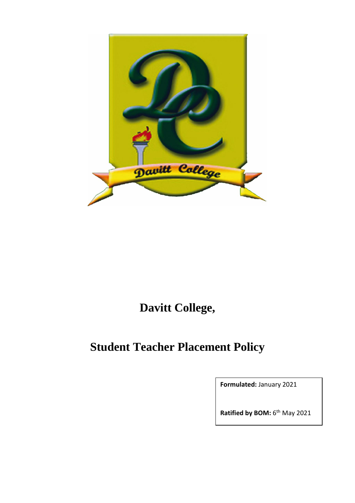

## **Davitt College,**

# **Student Teacher Placement Policy**

**Formulated:** January 2021

Ratified by BOM: 6<sup>th</sup> May 2021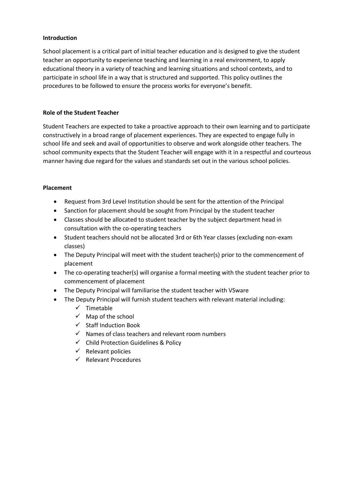#### **Introduction**

School placement is a critical part of initial teacher education and is designed to give the student teacher an opportunity to experience teaching and learning in a real environment, to apply educational theory in a variety of teaching and learning situations and school contexts, and to participate in school life in a way that is structured and supported. This policy outlines the procedures to be followed to ensure the process works for everyone's benefit. 

#### **Role of the Student Teacher**

Student Teachers are expected to take a proactive approach to their own learning and to participate constructively in a broad range of placement experiences. They are expected to engage fully in school life and seek and avail of opportunities to observe and work alongside other teachers. The school community expects that the Student Teacher will engage with it in a respectful and courteous manner having due regard for the values and standards set out in the various school policies.

#### **Placement**

- Request from 3rd Level Institution should be sent for the attention of the Principal
- Sanction for placement should be sought from Principal by the student teacher
- Classes should be allocated to student teacher by the subject department head in consultation with the co-operating teachers
- Student teachers should not be allocated 3rd or 6th Year classes (excluding non-exam classes)
- The Deputy Principal will meet with the student teacher(s) prior to the commencement of placement
- The co-operating teacher(s) will organise a formal meeting with the student teacher prior to commencement of placement
- The Deputy Principal will familiarise the student teacher with VSware
- The Deputy Principal will furnish student teachers with relevant material including:
	- $\checkmark$  Timetable
	- $\checkmark$  Map of the school
	- $\checkmark$  Staff Induction Book
	- $\checkmark$  Names of class teachers and relevant room numbers
	- $\checkmark$  Child Protection Guidelines & Policy
	- $\checkmark$  Relevant policies
	- $\checkmark$  Relevant Procedures